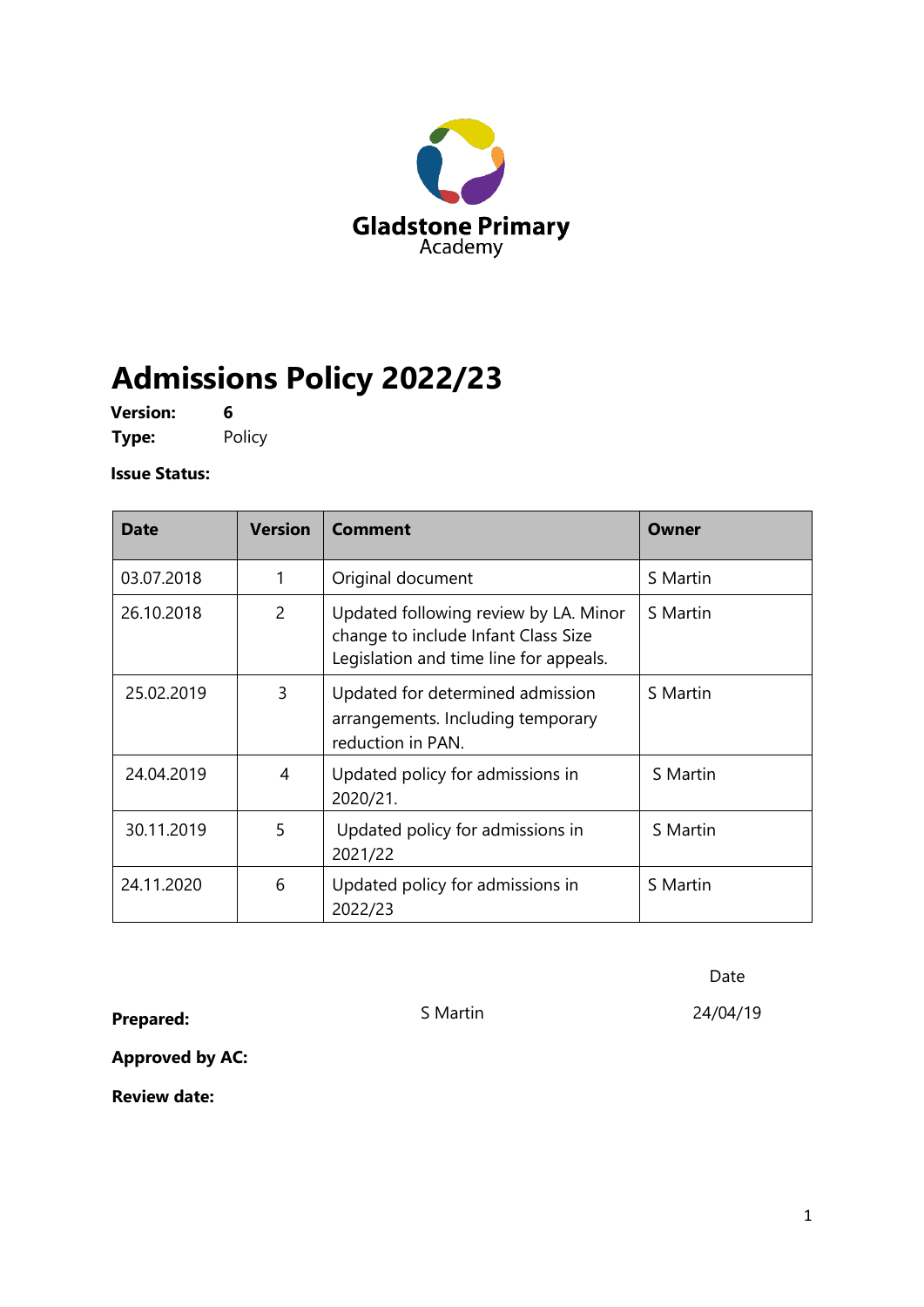

# **Admissions Policy 2022/23**

**Version: 6 Type:** Policy

**Issue Status:** 

| <b>Date</b> | <b>Version</b> | Comment                                                                                                                | Owner    |
|-------------|----------------|------------------------------------------------------------------------------------------------------------------------|----------|
| 03.07.2018  | 1              | Original document                                                                                                      | S Martin |
| 26.10.2018  | $\overline{2}$ | Updated following review by LA. Minor<br>change to include Infant Class Size<br>Legislation and time line for appeals. | S Martin |
| 25.02.2019  | 3              | Updated for determined admission<br>arrangements. Including temporary<br>reduction in PAN.                             | S Martin |
| 24.04.2019  | 4              | Updated policy for admissions in<br>2020/21.                                                                           | S Martin |
| 30.11.2019  | 5              | Updated policy for admissions in<br>2021/22                                                                            | S Martin |
| 24.11.2020  | 6              | Updated policy for admissions in<br>2022/23                                                                            | S Martin |

Date

**Prepared:** S Martin 24/04/19

**Approved by AC:**

**Review date:**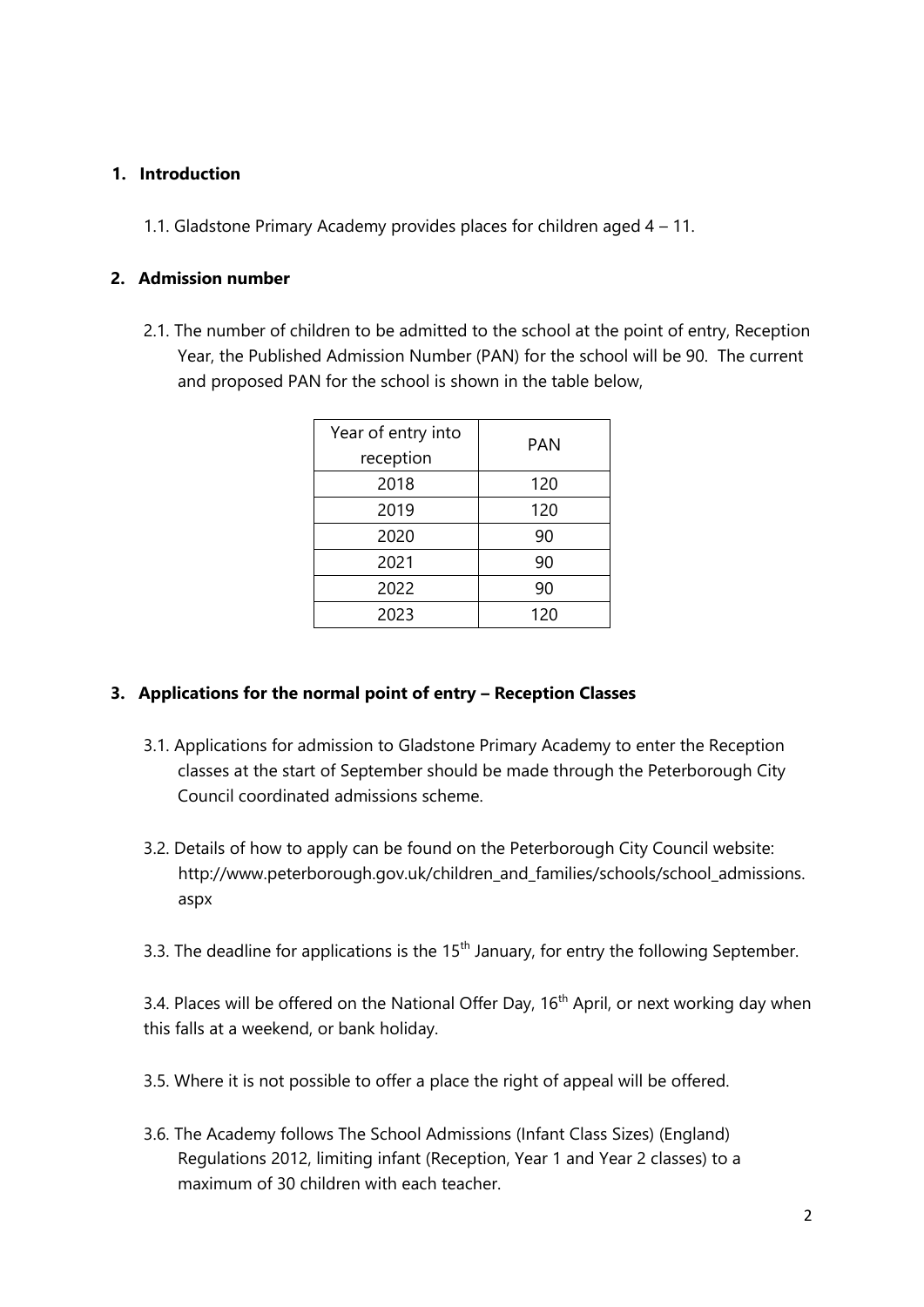#### **1. Introduction**

1.1. Gladstone Primary Academy provides places for children aged 4 – 11.

#### **2. Admission number**

2.1. The number of children to be admitted to the school at the point of entry, Reception Year, the Published Admission Number (PAN) for the school will be 90. The current and proposed PAN for the school is shown in the table below,

| Year of entry into<br>reception | PAN |
|---------------------------------|-----|
| 2018                            | 120 |
| 2019                            | 120 |
| 2020                            | 90  |
| 2021                            | 90  |
| 2022                            | 90  |
| 2023                            | 120 |

#### **3. Applications for the normal point of entry - Reception Classes**

- 3.1. Applications for admission to Gladstone Primary Academy to enter the Reception classes at the start of September should be made through the Peterborough City Council coordinated admissions scheme.
- 3.2. Details of how to apply can be found on the Peterborough City Council website: http://www.peterborough.gov.uk/children\_and\_families/schools/school\_admissions. aspx
- 3.3. The deadline for applications is the  $15<sup>th</sup>$  January, for entry the following September.

3.4. Places will be offered on the National Offer Day, 16<sup>th</sup> April, or next working day when this falls at a weekend, or bank holiday.

- 3.5. Where it is not possible to offer a place the right of appeal will be offered.
- 3.6. The Academy follows The School Admissions (Infant Class Sizes) (England) Regulations 2012, limiting infant (Reception, Year 1 and Year 2 classes) to a maximum of 30 children with each teacher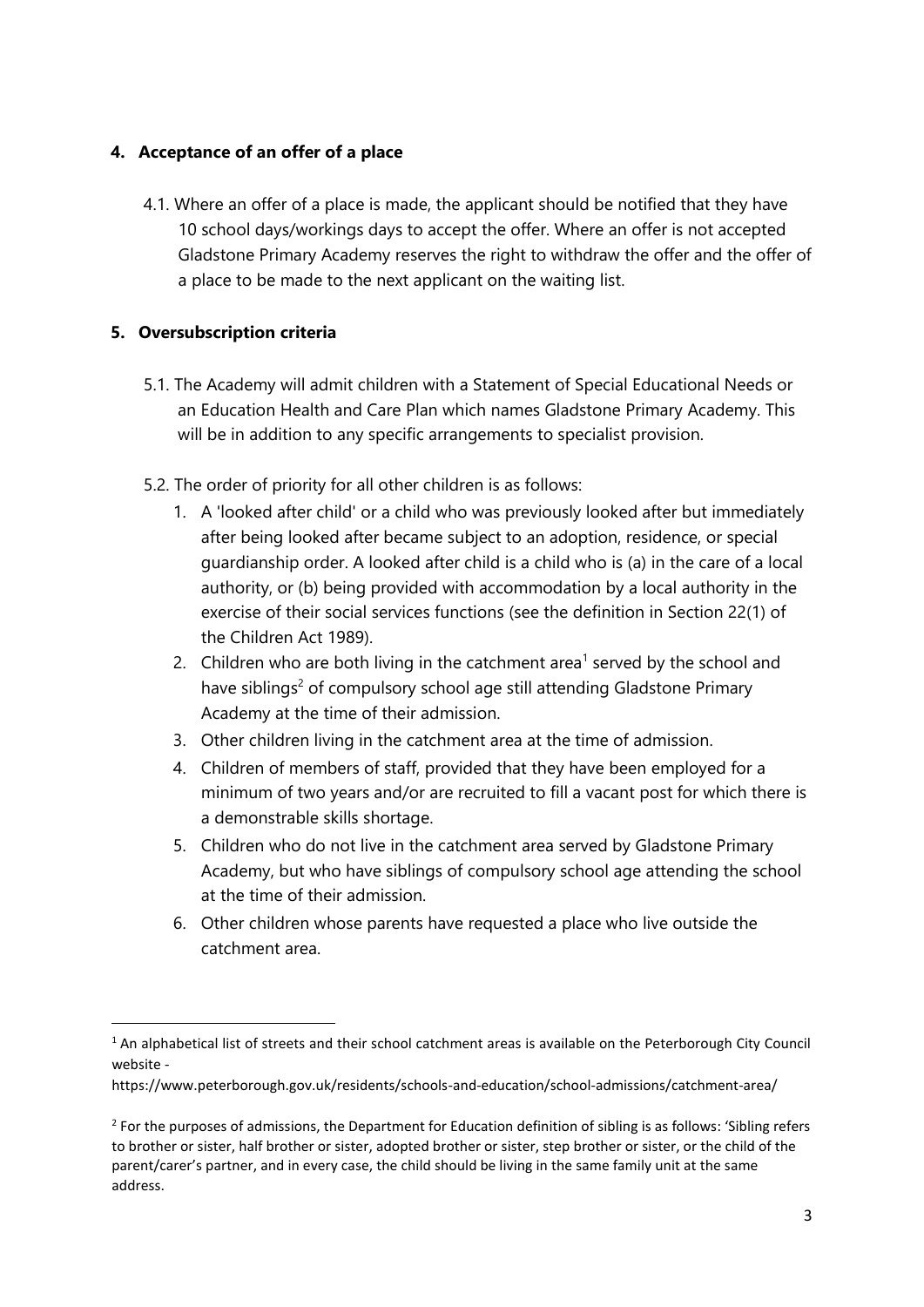#### **4. Acceptance of an offer of a place**

4.1. Where an offer of a place is made, the applicant should be notified that they have 10 school days/workings days to accept the offer. Where an offer is not accepted Gladstone Primary Academy reserves the right to withdraw the offer and the offer of a place to be made to the next applicant on the waiting list.

### **5. Oversubscription criteria**

- 5.1. The Academy will admit children with a Statement of Special Educational Needs or an Education Health and Care Plan which names Gladstone Primary Academy. This will be in addition to any specific arrangements to specialist provision.
- 5.2. The order of priority for all other children is as follows:
	- 1. A 'looked after child' or a child who was previously looked after but immediately after being looked after became subject to an adoption, residence, or special guardianship order. A looked after child is a child who is (a) in the care of a local authority, or (b) being provided with accommodation by a local authority in the exercise of their social services functions (see the definition in Section 22(1) of the Children Act 1989).
	- 2. Children who are both living in the catchment area<sup>1</sup> served by the school and have siblings<sup>2</sup> of compulsory school age still attending Gladstone Primary Academy at the time of their admission.
	- 3. Other children living in the catchment area at the time of admission.
	- 4. Children of members of staff, provided that they have been employed for a minimum of two years and/or are recruited to fill a vacant post for which there is a demonstrable skills shortage.
	- 5. Children who do not live in the catchment area served by Gladstone Primary Academy, but who have siblings of compulsory school age attending the school at the time of their admission.
	- 6. Other children whose parents have requested a place who live outside the catchment area.

<sup>&</sup>lt;sup>1</sup> An alphabetical list of streets and their school catchment areas is available on the Peterborough City Council website -

https://www.peterborough.gov.uk/residents/schools-and-education/school-admissions/catchment-area/

 $2$  For the purposes of admissions, the Department for Education definition of sibling is as follows: 'Sibling refers to brother or sister, half brother or sister, adopted brother or sister, step brother or sister, or the child of the parent/carer's partner, and in every case, the child should be living in the same family unit at the same address.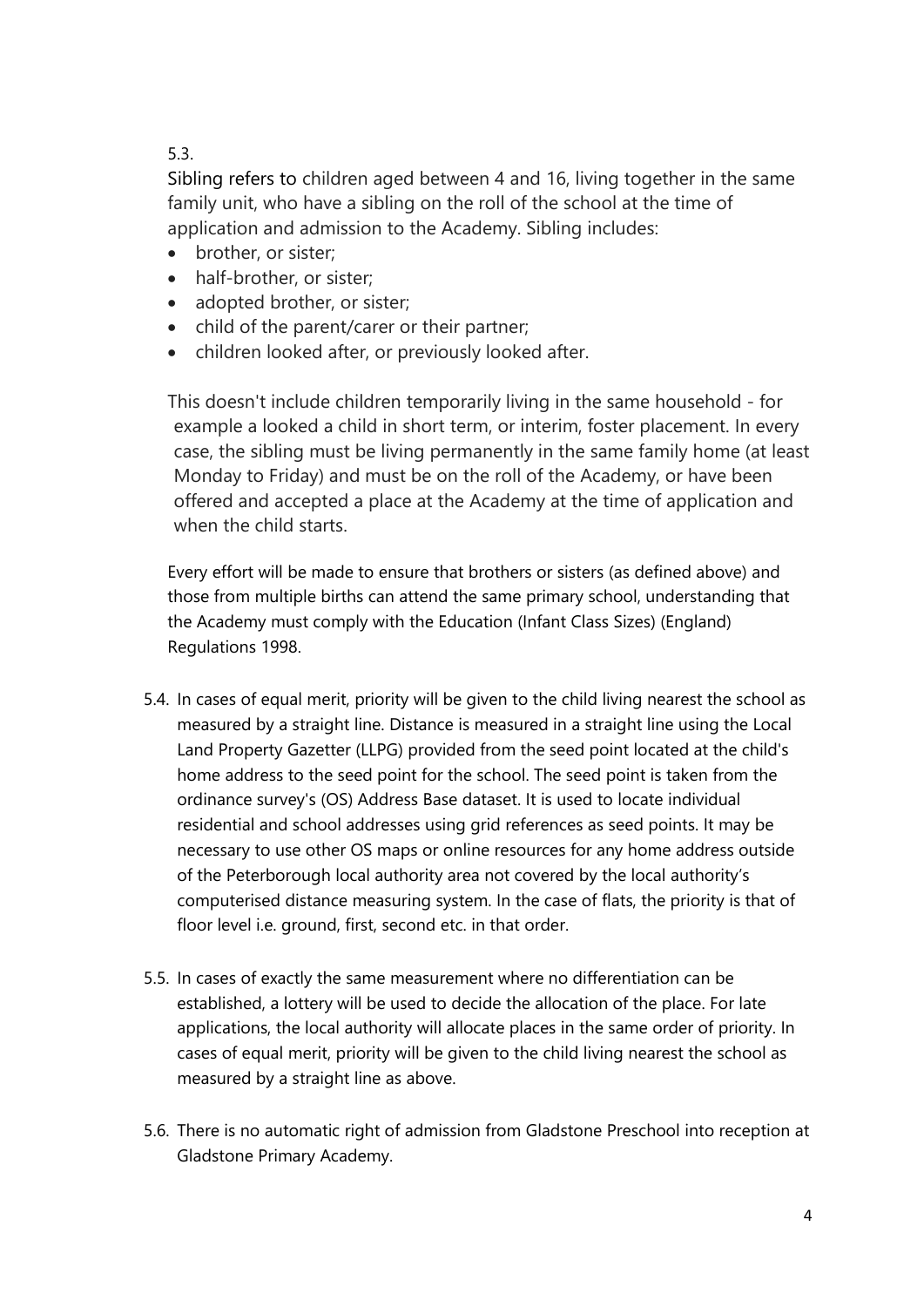## 5.3.

Sibling refers to children aged between 4 and 16, living together in the same family unit, who have a sibling on the roll of the school at the time of application and admission to the Academy. Sibling includes:

- brother, or sister;
- half-brother, or sister;
- adopted brother, or sister;
- child of the parent/carer or their partner;
- children looked after, or previously looked after.

This doesn't include children temporarily living in the same household - for example a looked a child in short term, or interim, foster placement. In every case, the sibling must be living permanently in the same family home (at least Monday to Friday) and must be on the roll of the Academy, or have been offered and accepted a place at the Academy at the time of application and when the child starts.

Every effort will be made to ensure that brothers or sisters (as defined above) and those from multiple births can attend the same primary school, understanding that the Academy must comply with the Education (Infant Class Sizes) (England) Regulations 1998.

- 5.4. In cases of equal merit, priority will be given to the child living nearest the school as measured by a straight line. Distance is measured in a straight line using the Local Land Property Gazetter (LLPG) provided from the seed point located at the child's home address to the seed point for the school. The seed point is taken from the ordinance survey's (OS) Address Base dataset. It is used to locate individual residential and school addresses using grid references as seed points. It may be necessary to use other OS maps or online resources for any home address outside of the Peterborough local authority area not covered by the local authority's computerised distance measuring system. In the case of flats, the priority is that of floor level i.e. ground, first, second etc. in that order.
- 5.5. In cases of exactly the same measurement where no differentiation can be established, a lottery will be used to decide the allocation of the place. For late applications, the local authority will allocate places in the same order of priority. In cases of equal merit, priority will be given to the child living nearest the school as measured by a straight line as above.
- 5.6. There is no automatic right of admission from Gladstone Preschool into reception at Gladstone Primary Academy.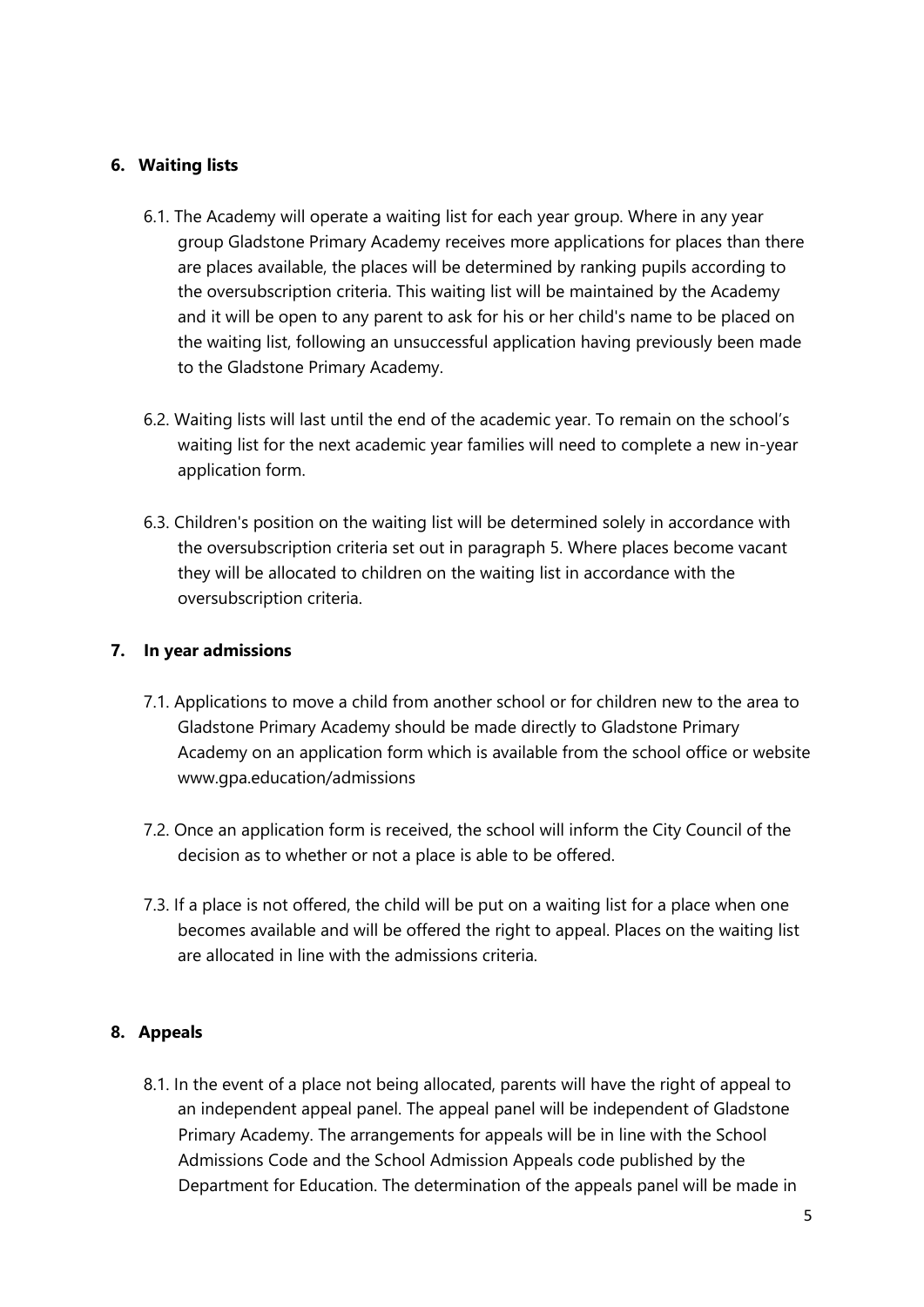## **6. Waiting lists**

- 6.1. The Academy will operate a waiting list for each year group. Where in any year group Gladstone Primary Academy receives more applications for places than there are places available, the places will be determined by ranking pupils according to the oversubscription criteria. This waiting list will be maintained by the Academy and it will be open to any parent to ask for his or her child's name to be placed on the waiting list, following an unsuccessful application having previously been made to the Gladstone Primary Academy.
- 6.2. Waiting lists will last until the end of the academic year. To remain on the school's waiting list for the next academic year families will need to complete a new in-year application form.
- 6.3. Children's position on the waiting list will be determined solely in accordance with the oversubscription criteria set out in paragraph 5. Where places become vacant they will be allocated to children on the waiting list in accordance with the oversubscription criteria.

### **7. In year admissions**

- 7.1. Applications to move a child from another school or for children new to the area to Gladstone Primary Academy should be made directly to Gladstone Primary Academy on an application form which is available from the school office or website www.gpa.education/admissions
- 7.2. Once an application form is received, the school will inform the City Council of the decision as to whether or not a place is able to be offered.
- 7.3. If a place is not offered, the child will be put on a waiting list for a place when one becomes available and will be offered the right to appeal. Places on the waiting list are allocated in line with the admissions criteria.

## **8. Appeals**

8.1. In the event of a place not being allocated, parents will have the right of appeal to an independent appeal panel. The appeal panel will be independent of Gladstone Primary Academy. The arrangements for appeals will be in line with the School Admissions Code and the School Admission Appeals code published by the Department for Education. The determination of the appeals panel will be made in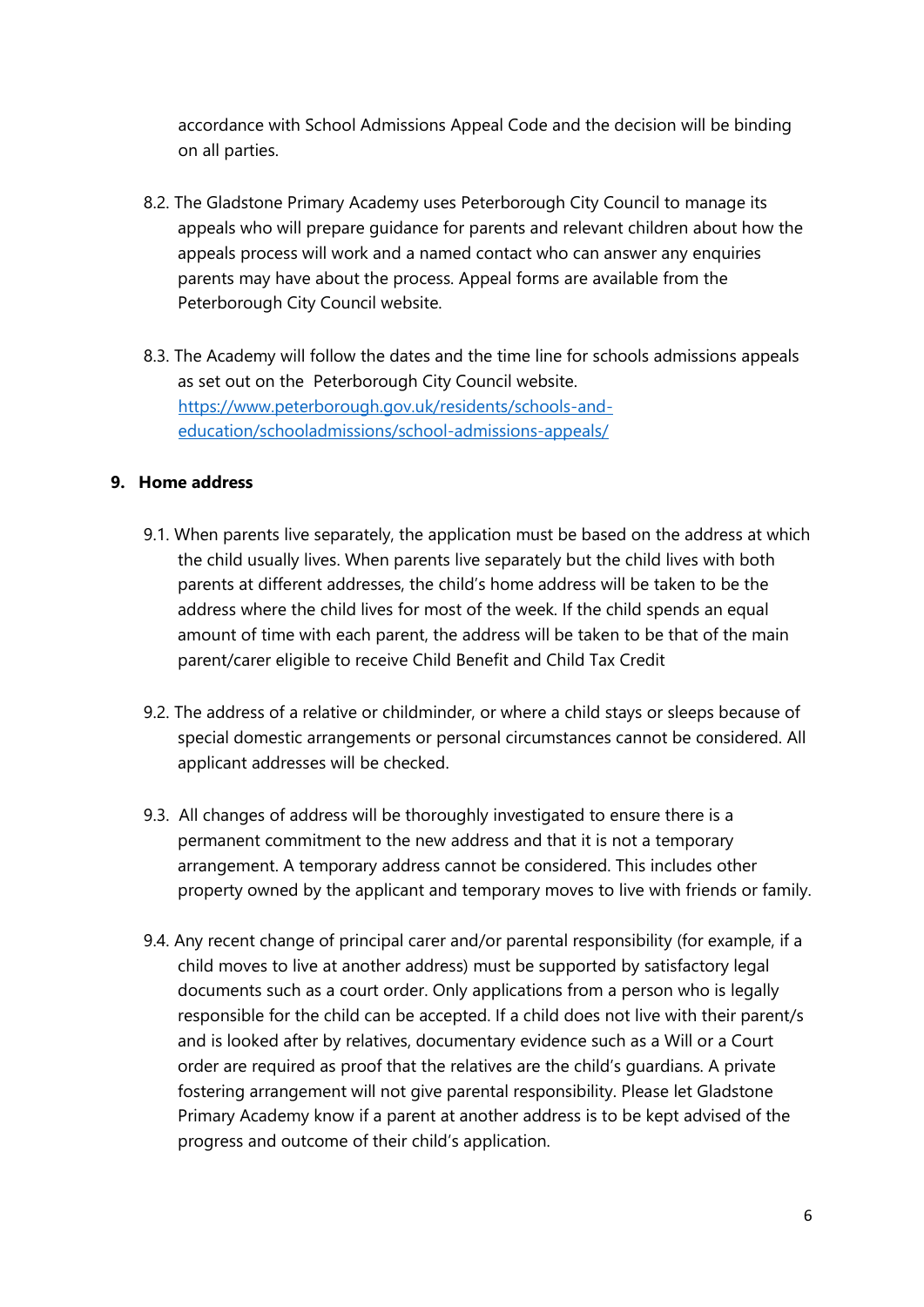accordance with School Admissions Appeal Code and the decision will be binding on all parties.

- 8.2. The Gladstone Primary Academy uses Peterborough City Council to manage its appeals who will prepare guidance for parents and relevant children about how the appeals process will work and a named contact who can answer any enquiries parents may have about the process. Appeal forms are available from the Peterborough City Council website.
- 8.3. The Academy will follow the dates and the time line for schools admissions appeals as set out on the Peterborough City Council website. [https://www.peterborough.gov.uk/residents/schools-and](https://www.peterborough.gov.uk/residents/schools-and-education/school-admissions/school-admissions-appeals/)[education/schooladmissions/school-admissions-appeals/](https://www.peterborough.gov.uk/residents/schools-and-education/school-admissions/school-admissions-appeals/)

#### **9. Home address**

- 9.1. When parents live separately, the application must be based on the address at which the child usually lives. When parents live separately but the child lives with both parents at different addresses, the child's home address will be taken to be the address where the child lives for most of the week. If the child spends an equal amount of time with each parent, the address will be taken to be that of the main parent/carer eligible to receive Child Benefit and Child Tax Credit
- 9.2. The address of a relative or childminder, or where a child stays or sleeps because of special domestic arrangements or personal circumstances cannot be considered. All applicant addresses will be checked.
- 9.3. All changes of address will be thoroughly investigated to ensure there is a permanent commitment to the new address and that it is not a temporary arrangement. A temporary address cannot be considered. This includes other property owned by the applicant and temporary moves to live with friends or family.
- 9.4. Any recent change of principal carer and/or parental responsibility (for example, if a child moves to live at another address) must be supported by satisfactory legal documents such as a court order. Only applications from a person who is legally responsible for the child can be accepted. If a child does not live with their parent/s and is looked after by relatives, documentary evidence such as a Will or a Court order are required as proof that the relatives are the child's guardians. A private fostering arrangement will not give parental responsibility. Please let Gladstone Primary Academy know if a parent at another address is to be kept advised of the progress and outcome of their child's application.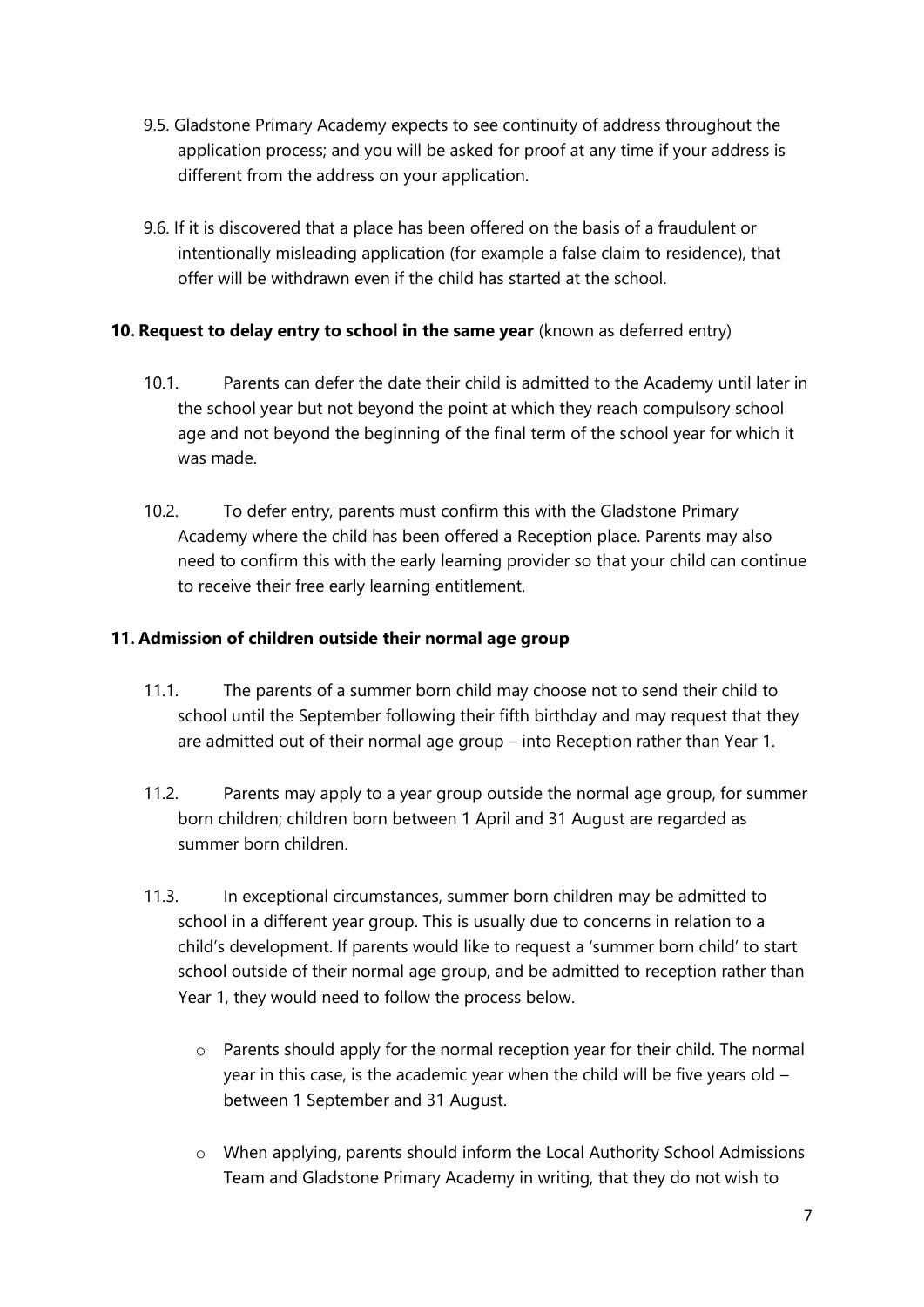- 9.5. Gladstone Primary Academy expects to see continuity of address throughout the application process; and you will be asked for proof at any time if your address is different from the address on your application.
- 9.6. If it is discovered that a place has been offered on the basis of a fraudulent or intentionally misleading application (for example a false claim to residence), that offer will be withdrawn even if the child has started at the school.

## **10. Request to delay entry to school in the same year** (known as deferred entry)

- 10.1. Parents can defer the date their child is admitted to the Academy until later in the school year but not beyond the point at which they reach compulsory school age and not beyond the beginning of the final term of the school year for which it was made.
- 10.2. To defer entry, parents must confirm this with the Gladstone Primary Academy where the child has been offered a Reception place. Parents may also need to confirm this with the early learning provider so that your child can continue to receive their free early learning entitlement.

### **11. Admission of children outside their normal age group**

- 11.1. The parents of a summer born child may choose not to send their child to school until the September following their fifth birthday and may request that they are admitted out of their normal age group – into Reception rather than Year 1.
- 11.2. Parents may apply to a year group outside the normal age group, for summer born children; children born between 1 April and 31 August are regarded as summer born children.
- 11.3. In exceptional circumstances, summer born children may be admitted to school in a different year group. This is usually due to concerns in relation to a child's development. If parents would like to request a 'summer born child' to start school outside of their normal age group, and be admitted to reception rather than Year 1, they would need to follow the process below.
	- o Parents should apply for the normal reception year for their child. The normal year in this case, is the academic year when the child will be five years old – between 1 September and 31 August.
	- o When applying, parents should inform the Local Authority School Admissions Team and Gladstone Primary Academy in writing, that they do not wish to